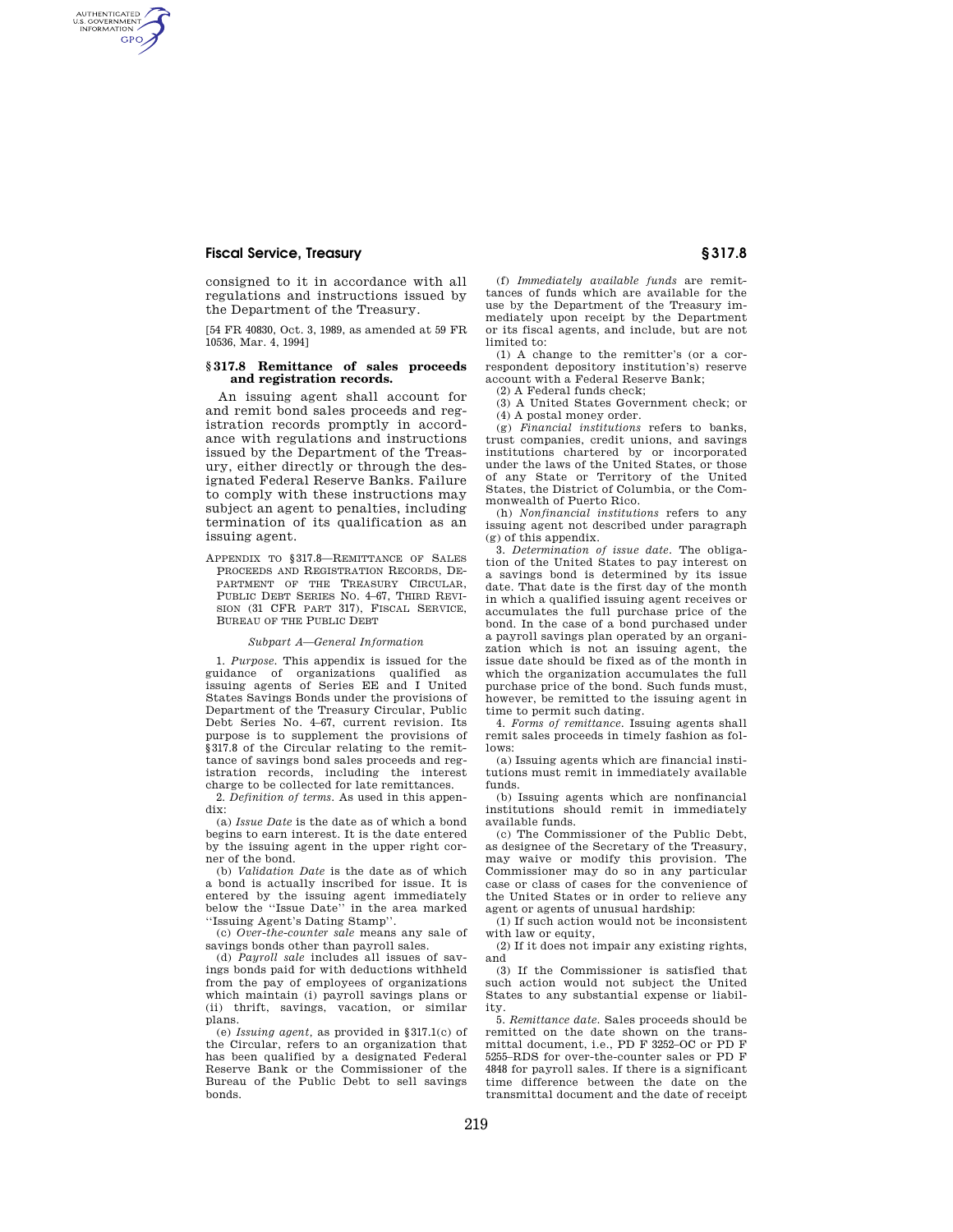# **Fiscal Service, Treasury § 317.8**

AUTHENTICATED<br>U.S. GOVERNMENT<br>INFORMATION **GPO** 

> consigned to it in accordance with all regulations and instructions issued by the Department of the Treasury.

> [54 FR 40830, Oct. 3, 1989, as amended at 59 FR 10536, Mar. 4, 1994]

## **§ 317.8 Remittance of sales proceeds and registration records.**

An issuing agent shall account for and remit bond sales proceeds and registration records promptly in accordance with regulations and instructions issued by the Department of the Treasury, either directly or through the designated Federal Reserve Banks. Failure to comply with these instructions may subject an agent to penalties, including termination of its qualification as an issuing agent.

APPENDIX TO §317.8—REMITTANCE OF SALES PROCEEDS AND REGISTRATION RECORDS, DE-PARTMENT OF THE TREASURY CIRCULAR, PUBLIC DEBT SERIES NO. 4–67, THIRD REVI-SION (31 CFR PART 317), FISCAL SERVICE, BUREAU OF THE PUBLIC DEBT

#### *Subpart A—General Information*

1. *Purpose.* This appendix is issued for the guidance of organizations qualified as issuing agents of Series EE and I United States Savings Bonds under the provisions of Department of the Treasury Circular, Public Debt Series No. 4–67, current revision. Its purpose is to supplement the provisions of §317.8 of the Circular relating to the remittance of savings bond sales proceeds and registration records, including the interest charge to be collected for late remittances.

2. *Definition of terms.* As used in this appendix:

(a) *Issue Date* is the date as of which a bond begins to earn interest. It is the date entered by the issuing agent in the upper right corner of the bond.

(b) *Validation Date* is the date as of which a bond is actually inscribed for issue. It is entered by the issuing agent immediately below the ''Issue Date'' in the area marked ''Issuing Agent's Dating Stamp''.

(c) *Over-the-counter sale* means any sale of savings bonds other than payroll sales.

(d) *Payroll sale* includes all issues of savings bonds paid for with deductions withheld from the pay of employees of organizations which maintain (i) payroll savings plans or (ii) thrift, savings, vacation, or similar plans.

(e) *Issuing agent,* as provided in §317.1(c) of the Circular, refers to an organization that has been qualified by a designated Federal Reserve Bank or the Commissioner of the Bureau of the Public Debt to sell savings bonds.

(f) *Immediately available funds* are remittances of funds which are available for the use by the Department of the Treasury immediately upon receipt by the Department or its fiscal agents, and include, but are not limited to:

(1) A change to the remitter's (or a correspondent depository institution's) reserve account with a Federal Reserve Bank;

(2) A Federal funds check;

(3) A United States Government check; or (4) A postal money order.

(g) *Financial institutions* refers to banks, trust companies, credit unions, and savings institutions chartered by or incorporated under the laws of the United States, or those of any State or Territory of the United States, the District of Columbia, or the Commonwealth of Puerto Rico.

(h) *Nonfinancial institutions* refers to any issuing agent not described under paragraph (g) of this appendix.

3. *Determination of issue date.* The obligation of the United States to pay interest on a savings bond is determined by its issue date. That date is the first day of the month in which a qualified issuing agent receives or accumulates the full purchase price of the bond. In the case of a bond purchased under a payroll savings plan operated by an organization which is not an issuing agent, the issue date should be fixed as of the month in which the organization accumulates the full purchase price of the bond. Such funds must, however, be remitted to the issuing agent in time to permit such dating.

4. *Forms of remittance.* Issuing agents shall remit sales proceeds in timely fashion as follows:

(a) Issuing agents which are financial institutions must remit in immediately available funds.

(b) Issuing agents which are nonfinancial institutions should remit in immediately available funds.

(c) The Commissioner of the Public Debt, as designee of the Secretary of the Treasury, may waive or modify this provision. The Commissioner may do so in any particular case or class of cases for the convenience of the United States or in order to relieve any agent or agents of unusual hardship:

(1) If such action would not be inconsistent with law or equity.

(2) If it does not impair any existing rights, and

(3) If the Commissioner is satisfied that such action would not subject the United States to any substantial expense or liability.

5. *Remittance date.* Sales proceeds should be remitted on the date shown on the transmittal document, i.e., PD F 3252–OC or PD F 5255–RDS for over-the-counter sales or PD F 4848 for payroll sales. If there is a significant time difference between the date on the transmittal document and the date of receipt